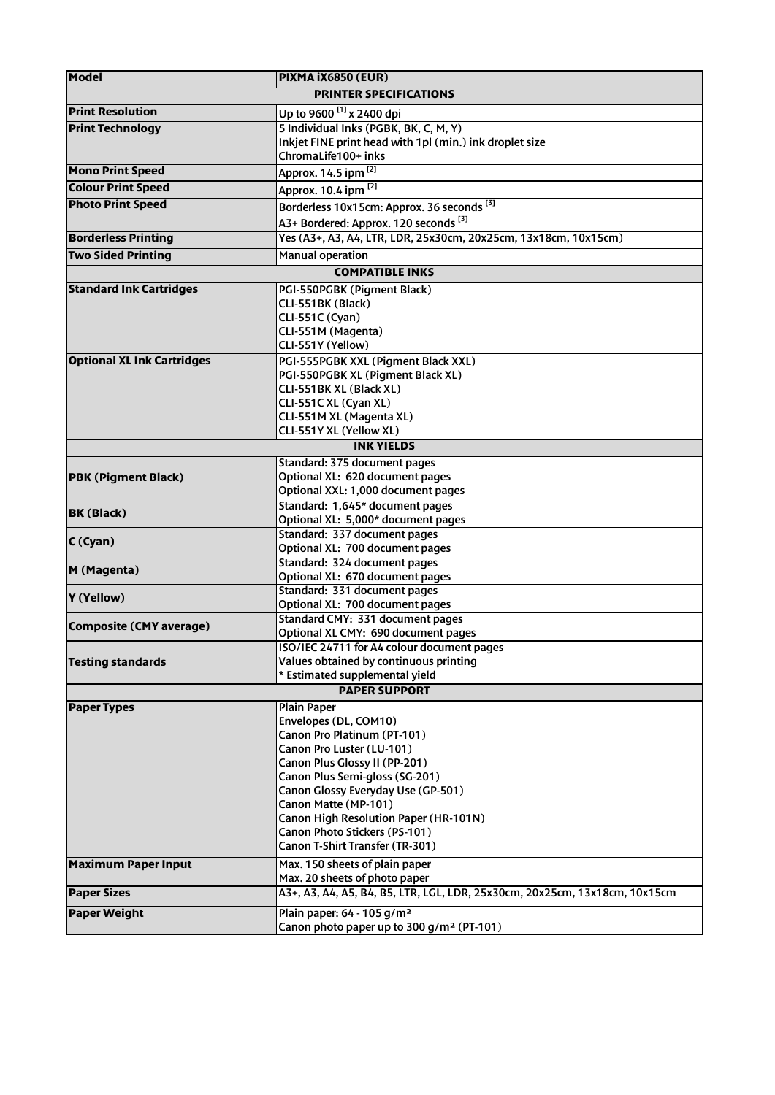| <b>Model</b>                             | PIXMA iX6850 (EUR)                                                                   |  |
|------------------------------------------|--------------------------------------------------------------------------------------|--|
| <b>PRINTER SPECIFICATIONS</b>            |                                                                                      |  |
| <b>Print Resolution</b>                  | Up to 9600 <sup>[1]</sup> x 2400 dpi                                                 |  |
| <b>Print Technology</b>                  | 5 Individual Inks (PGBK, BK, C, M, Y)                                                |  |
|                                          | Inkjet FINE print head with 1pl (min.) ink droplet size                              |  |
|                                          | ChromaLife100+ inks                                                                  |  |
| <b>Mono Print Speed</b>                  | Approx. 14.5 ipm [2]                                                                 |  |
| <b>Colour Print Speed</b>                | Approx. 10.4 ipm [2]                                                                 |  |
| <b>Photo Print Speed</b>                 | Borderless 10x15cm: Approx. 36 seconds <sup>[3]</sup>                                |  |
|                                          |                                                                                      |  |
|                                          | A3+ Bordered: Approx. 120 seconds <sup>[3]</sup>                                     |  |
| <b>Borderless Printing</b>               | Yes (A3+, A3, A4, LTR, LDR, 25x30cm, 20x25cm, 13x18cm, 10x15cm)                      |  |
| <b>Two Sided Printing</b>                | <b>Manual operation</b>                                                              |  |
| <b>COMPATIBLE INKS</b>                   |                                                                                      |  |
| <b>Standard Ink Cartridges</b>           | PGI-550PGBK (Pigment Black)                                                          |  |
|                                          | CLI-551BK (Black)                                                                    |  |
|                                          | CLI-551C (Cyan)                                                                      |  |
|                                          | CLI-551M (Magenta)                                                                   |  |
|                                          | CLI-551Y (Yellow)                                                                    |  |
| <b>Optional XL Ink Cartridges</b>        | PGI-555PGBK XXL (Pigment Black XXL)                                                  |  |
|                                          | PGI-550PGBK XL (Pigment Black XL)                                                    |  |
|                                          | CLI-551BK XL (Black XL)                                                              |  |
|                                          | CLI-551C XL (Cyan XL)                                                                |  |
|                                          | CLI-551M XL (Magenta XL)                                                             |  |
|                                          | CLI-551Y XL (Yellow XL)                                                              |  |
| <b>INK YIELDS</b>                        |                                                                                      |  |
|                                          | Standard: 375 document pages                                                         |  |
| <b>PBK (Pigment Black)</b>               | Optional XL: 620 document pages                                                      |  |
|                                          | Optional XXL: 1,000 document pages                                                   |  |
| <b>BK (Black)</b>                        | Standard: 1,645* document pages                                                      |  |
|                                          | Optional XL: 5,000* document pages                                                   |  |
| C(Cyan)                                  | Standard: 337 document pages                                                         |  |
|                                          | Optional XL: 700 document pages                                                      |  |
| M (Magenta)                              | Standard: 324 document pages                                                         |  |
|                                          | Optional XL: 670 document pages                                                      |  |
| Y (Yellow)                               | Standard: 331 document pages                                                         |  |
|                                          | Optional XL: 700 document pages                                                      |  |
| <b>Composite (CMY average)</b>           | Standard CMY: 331 document pages<br>Optional XL CMY: 690 document pages              |  |
|                                          |                                                                                      |  |
| <b>Testing standards</b>                 | ISO/IEC 24711 for A4 colour document pages<br>Values obtained by continuous printing |  |
|                                          | * Estimated supplemental yield                                                       |  |
| <b>PAPER SUPPORT</b>                     |                                                                                      |  |
| <b>Paper Types</b><br><b>Plain Paper</b> |                                                                                      |  |
|                                          | Envelopes (DL, COM10)                                                                |  |
|                                          | Canon Pro Platinum (PT-101)                                                          |  |
|                                          | Canon Pro Luster (LU-101)                                                            |  |
|                                          | Canon Plus Glossy II (PP-201)                                                        |  |
|                                          | Canon Plus Semi-gloss (SG-201)                                                       |  |
|                                          | Canon Glossy Everyday Use (GP-501)                                                   |  |
|                                          | Canon Matte (MP-101)                                                                 |  |
|                                          | Canon High Resolution Paper (HR-101N)                                                |  |
|                                          | Canon Photo Stickers (PS-101)                                                        |  |
|                                          | Canon T-Shirt Transfer (TR-301)                                                      |  |
| <b>Maximum Paper Input</b>               | Max. 150 sheets of plain paper                                                       |  |
|                                          | Max. 20 sheets of photo paper                                                        |  |
| <b>Paper Sizes</b>                       | A3+, A3, A4, A5, B4, B5, LTR, LGL, LDR, 25x30cm, 20x25cm, 13x18cm, 10x15cm           |  |
|                                          |                                                                                      |  |
| <b>Paper Weight</b>                      | Plain paper: 64 - 105 g/m <sup>2</sup>                                               |  |
|                                          | Canon photo paper up to 300 g/m <sup>2</sup> (PT-101)                                |  |